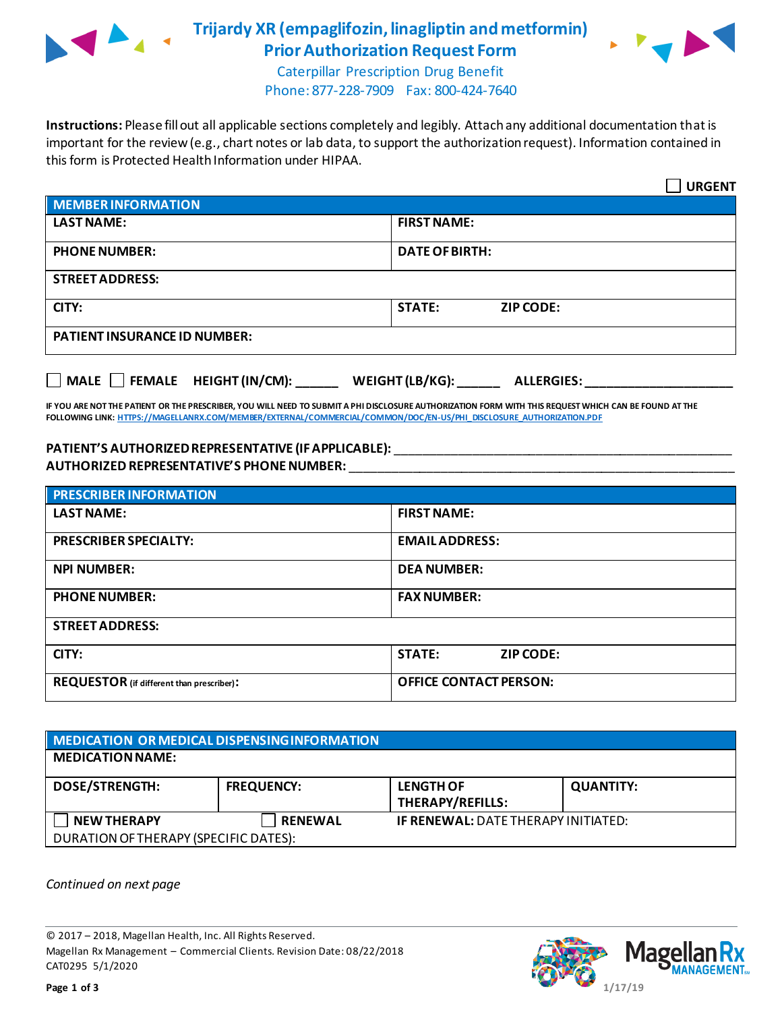

## **Trijardy XR (empaglifozin, linagliptin and metformin) Prior Authorization Request Form**



Caterpillar Prescription Drug Benefit Phone: 877-228-7909 Fax: 800-424-7640

**Instructions:** Please fill out all applicable sections completely and legibly. Attach any additional documentation that is important for the review (e.g., chart notes or lab data, to support the authorization request). Information contained in this form is Protected Health Information under HIPAA.

|                                           | <b>URGENT</b>                        |
|-------------------------------------------|--------------------------------------|
| <b>MEMBER INFORMATION</b>                 |                                      |
| <b>LAST NAME:</b>                         | <b>FIRST NAME:</b>                   |
| <b>PHONE NUMBER:</b>                      | <b>DATE OF BIRTH:</b>                |
| <b>STREET ADDRESS:</b>                    |                                      |
| CITY:                                     | <b>STATE:</b><br><b>ZIP CODE:</b>    |
| <b>PATIENT INSURANCE ID NUMBER:</b>       |                                      |
| $\Box$ MALE $\Box$ FEMALE HEIGHT (IN/CM): | WEIGHT (LB/KG):<br><b>ALLERGIES:</b> |

**IF YOU ARE NOT THE PATIENT OR THE PRESCRIBER, YOU WILL NEED TO SUBMIT A PHI DISCLOSURE AUTHORIZATION FORM WITH THIS REQUEST WHICH CAN BE FOUND AT THE FOLLOWING LINK[: HTTPS://MAGELLANRX.COM/MEMBER/EXTERNAL/COMMERCIAL/COMMON/DOC/EN-US/PHI\\_DISCLOSURE\\_AUTHORIZATION.PDF](https://magellanrx.com/member/external/commercial/common/doc/en-us/PHI_Disclosure_Authorization.pdf)**

## **PATIENT'S AUTHORIZEDREPRESENTATIVE (IF APPLICABLE):** \_\_\_\_\_\_\_\_\_\_\_\_\_\_\_\_\_\_\_\_\_\_\_\_\_\_\_\_\_\_\_\_\_\_\_\_\_\_\_\_\_\_\_\_\_\_\_\_ **AUTHORIZED REPRESENTATIVE'S PHONE NUMBER:** \_\_\_\_\_\_\_\_\_\_\_\_\_\_\_\_\_\_\_\_\_\_\_\_\_\_\_\_\_\_\_\_\_\_\_\_\_\_\_\_\_\_\_\_\_\_\_\_\_\_\_\_\_\_\_

| <b>PRESCRIBER INFORMATION</b>             |                                   |
|-------------------------------------------|-----------------------------------|
| <b>LAST NAME:</b>                         | <b>FIRST NAME:</b>                |
| <b>PRESCRIBER SPECIALTY:</b>              | <b>EMAIL ADDRESS:</b>             |
| <b>NPI NUMBER:</b>                        | <b>DEA NUMBER:</b>                |
| <b>PHONE NUMBER:</b>                      | <b>FAX NUMBER:</b>                |
| <b>STREET ADDRESS:</b>                    |                                   |
| CITY:                                     | <b>STATE:</b><br><b>ZIP CODE:</b> |
| REQUESTOR (if different than prescriber): | <b>OFFICE CONTACT PERSON:</b>     |

| MEDICATION OR MEDICAL DISPENSING INFORMATION |                   |                                            |                  |  |  |
|----------------------------------------------|-------------------|--------------------------------------------|------------------|--|--|
| <b>MEDICATION NAME:</b>                      |                   |                                            |                  |  |  |
| <b>DOSE/STRENGTH:</b>                        | <b>FREQUENCY:</b> | <b>LENGTH OF</b><br>THERAPY/REFILLS:       | <b>QUANTITY:</b> |  |  |
| <b>NEW THERAPY</b>                           | <b>RENEWAL</b>    | <b>IF RENEWAL: DATE THERAPY INITIATED:</b> |                  |  |  |
| DURATION OF THERAPY (SPECIFIC DATES):        |                   |                                            |                  |  |  |

*Continued on next page*

© 2017 – 2018, Magellan Health, Inc. All Rights Reserved. Magellan Rx Management – Commercial Clients. Revision Date: 08/22/2018 CAT0295 5/1/2020

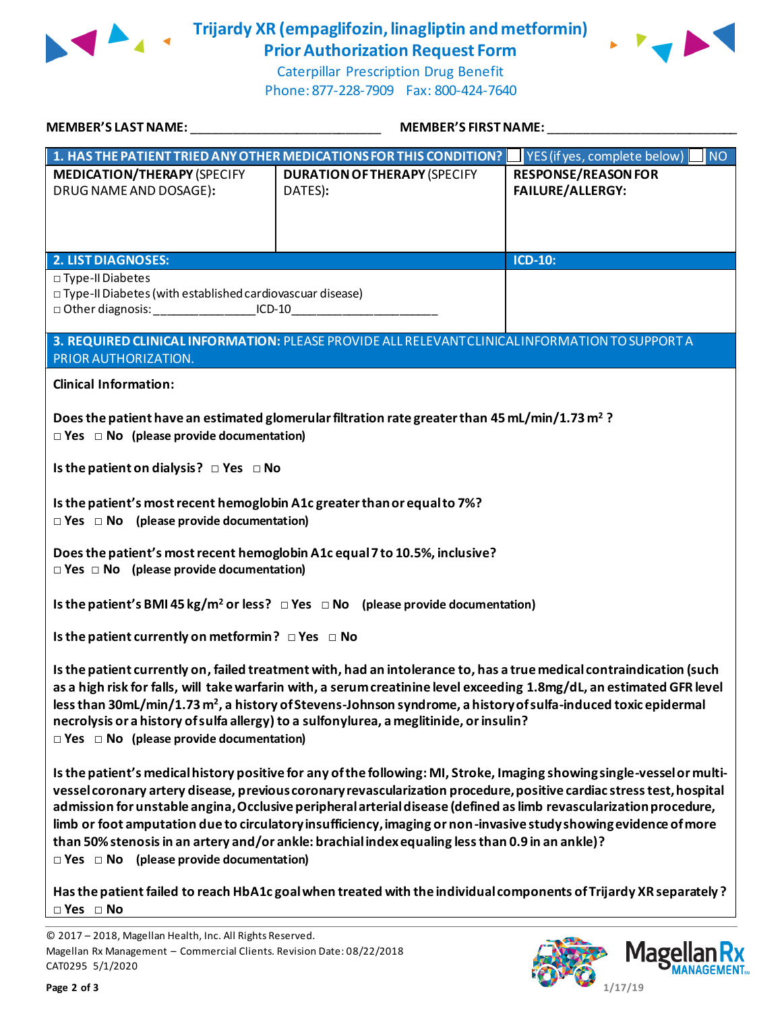

**Trijardy XR (empaglifozin, linagliptin and metformin) Prior Authorization Request Form**



Caterpillar Prescription Drug Benefit Phone: 877-228-7909 Fax: 800-424-7640

| MEMBER'S LAST NAME: ________________________________                                                                                                                                                                                                                                                                                                                                                                                                                                                                                                                                                                                                  | MEMBER'S FIRST NAME:                                                                                              |                                                       |  |  |
|-------------------------------------------------------------------------------------------------------------------------------------------------------------------------------------------------------------------------------------------------------------------------------------------------------------------------------------------------------------------------------------------------------------------------------------------------------------------------------------------------------------------------------------------------------------------------------------------------------------------------------------------------------|-------------------------------------------------------------------------------------------------------------------|-------------------------------------------------------|--|--|
|                                                                                                                                                                                                                                                                                                                                                                                                                                                                                                                                                                                                                                                       | 1. HAS THE PATIENT TRIED ANY OTHER MEDICATIONS FOR THIS CONDITION?   YES (if yes, complete below)                 | <b>NO</b>                                             |  |  |
| <b>MEDICATION/THERAPY (SPECIFY</b><br>DRUG NAME AND DOSAGE):                                                                                                                                                                                                                                                                                                                                                                                                                                                                                                                                                                                          | <b>DURATION OF THERAPY (SPECIFY</b><br>DATES):                                                                    | <b>RESPONSE/REASON FOR</b><br><b>FAILURE/ALLERGY:</b> |  |  |
| <b>2. LIST DIAGNOSES:</b>                                                                                                                                                                                                                                                                                                                                                                                                                                                                                                                                                                                                                             |                                                                                                                   | <b>ICD-10:</b>                                        |  |  |
| □ Type-II Diabetes<br>□ Type-II Diabetes (with established cardiovascuar disease)<br>□ Other diagnosis: ____________________ICD-10__________________________________                                                                                                                                                                                                                                                                                                                                                                                                                                                                                  | 3. REQUIRED CLINICAL INFORMATION: PLEASE PROVIDE ALL RELEVANT CLINICAL INFORMATION TO SUPPORT A                   |                                                       |  |  |
| PRIOR AUTHORIZATION.                                                                                                                                                                                                                                                                                                                                                                                                                                                                                                                                                                                                                                  |                                                                                                                   |                                                       |  |  |
| <b>Clinical Information:</b>                                                                                                                                                                                                                                                                                                                                                                                                                                                                                                                                                                                                                          |                                                                                                                   |                                                       |  |  |
| Does the patient have an estimated glomerular filtration rate greater than 45 mL/min/1.73 m <sup>2</sup> ?<br>$\Box$ Yes $\Box$ No (please provide documentation)                                                                                                                                                                                                                                                                                                                                                                                                                                                                                     |                                                                                                                   |                                                       |  |  |
| Is the patient on dialysis? $\Box$ Yes $\Box$ No                                                                                                                                                                                                                                                                                                                                                                                                                                                                                                                                                                                                      |                                                                                                                   |                                                       |  |  |
| Is the patient's most recent hemoglobin A1c greater than or equal to 7%?<br>$\Box$ Yes $\Box$ No (please provide documentation)                                                                                                                                                                                                                                                                                                                                                                                                                                                                                                                       |                                                                                                                   |                                                       |  |  |
| Does the patient's most recent hemoglobin A1c equal 7 to 10.5%, inclusive?<br>$\Box$ Yes $\Box$ No (please provide documentation)                                                                                                                                                                                                                                                                                                                                                                                                                                                                                                                     |                                                                                                                   |                                                       |  |  |
|                                                                                                                                                                                                                                                                                                                                                                                                                                                                                                                                                                                                                                                       | Is the patient's BMI 45 kg/m <sup>2</sup> or less? $\Box$ Yes $\Box$ No (please provide documentation)            |                                                       |  |  |
| Is the patient currently on metformin? $\Box$ Yes $\Box$ No                                                                                                                                                                                                                                                                                                                                                                                                                                                                                                                                                                                           |                                                                                                                   |                                                       |  |  |
| Is the patient currently on, failed treatment with, had an intolerance to, has a true medical contraindication (such<br>as a high risk for falls, will take warfarin with, a serum creatinine level exceeding 1.8mg/dL, an estimated GFR level<br>less than 30mL/min/1.73 m <sup>2</sup> , a history of Stevens-Johnson syndrome, a history of sulfa-induced toxic epidermal<br>necrolysis or a history of sulfa allergy) to a sulfonylurea, a meglitinide, or insulin?<br>$\Box$ Yes $\Box$ No (please provide documentation)                                                                                                                        |                                                                                                                   |                                                       |  |  |
| Is the patient's medical history positive for any of the following: MI, Stroke, Imaging showing single-vessel or multi-<br>vessel coronary artery disease, previous coronary revascularization procedure, positive cardiac stress test, hospital<br>admission for unstable angina, Occlusive peripheral arterial disease (defined as limb revascularization procedure,<br>limb or foot amputation due to circulatory insufficiency, imaging or non-invasive study showing evidence of more<br>than 50% stenosis in an artery and/or ankle: brachial index equaling less than 0.9 in an ankle)?<br>$\Box$ Yes $\Box$ No (please provide documentation) |                                                                                                                   |                                                       |  |  |
| $\Box$ Yes $\Box$ No                                                                                                                                                                                                                                                                                                                                                                                                                                                                                                                                                                                                                                  | Has the patient failed to reach HbA1c goal when treated with the individual components of Trijardy XR separately? |                                                       |  |  |

<sup>© 2017</sup> – 2018, Magellan Health, Inc. All Rights Reserved. Magellan Rx Management – Commercial Clients. Revision Date: 08/22/2018 CAT0295 5/1/2020